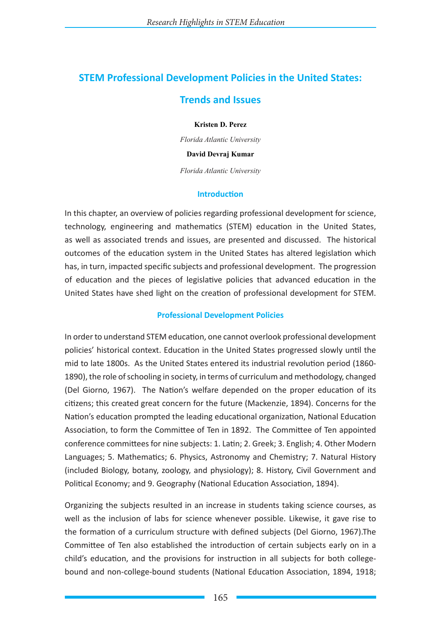# **STEM Professional Development Policies in the United States:**

## **Trends and Issues**

**Kristen D. Perez**

*Florida Atlantic University*

**David Devraj Kumar**

*Florida Atlantic University*

#### **Introduction**

In this chapter, an overview of policies regarding professional development for science, technology, engineering and mathematics (STEM) education in the United States, as well as associated trends and issues, are presented and discussed. The historical outcomes of the education system in the United States has altered legislation which has, in turn, impacted specific subjects and professional development. The progression of education and the pieces of legislative policies that advanced education in the United States have shed light on the creation of professional development for STEM.

### **Professional Development Policies**

In order to understand STEM education, one cannot overlook professional development policies' historical context. Education in the United States progressed slowly until the mid to late 1800s. As the United States entered its industrial revolution period (1860- 1890), the role of schooling in society, in terms of curriculum and methodology, changed (Del Giorno, 1967). The Nation's welfare depended on the proper education of its citizens; this created great concern for the future (Mackenzie, 1894). Concerns for the Nation's education prompted the leading educational organization, National Education Association, to form the Committee of Ten in 1892. The Committee of Ten appointed conference committees for nine subjects: 1. Latin; 2. Greek; 3. English; 4. Other Modern Languages; 5. Mathematics; 6. Physics, Astronomy and Chemistry; 7. Natural History (included Biology, botany, zoology, and physiology); 8. History, Civil Government and Political Economy; and 9. Geography (National Education Association, 1894).

Organizing the subjects resulted in an increase in students taking science courses, as well as the inclusion of labs for science whenever possible. Likewise, it gave rise to the formation of a curriculum structure with defined subjects (Del Giorno, 1967).The Committee of Ten also established the introduction of certain subjects early on in a child's education, and the provisions for instruction in all subjects for both collegebound and non-college-bound students (National Education Association, 1894, 1918;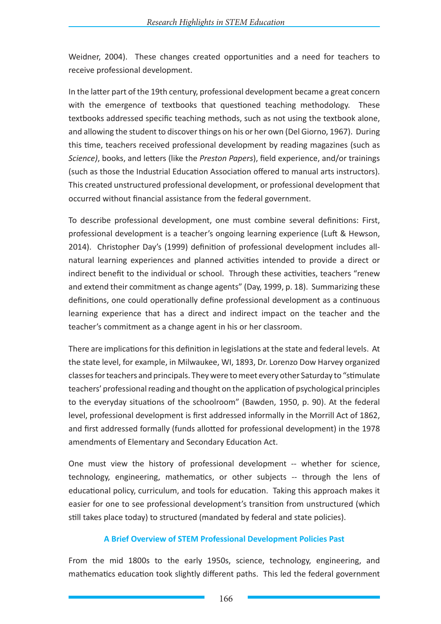Weidner, 2004). These changes created opportunities and a need for teachers to receive professional development.

In the latter part of the 19th century, professional development became a great concern with the emergence of textbooks that questioned teaching methodology. These textbooks addressed specific teaching methods, such as not using the textbook alone, and allowing the student to discover things on his or her own (Del Giorno, 1967). During this time, teachers received professional development by reading magazines (such as *Science)*, books, and letters (like the *Preston Papers*), field experience, and/or trainings (such as those the Industrial Education Association offered to manual arts instructors). This created unstructured professional development, or professional development that occurred without financial assistance from the federal government.

To describe professional development, one must combine several definitions: First, professional development is a teacher's ongoing learning experience (Luft & Hewson, 2014). Christopher Day's (1999) definition of professional development includes allnatural learning experiences and planned activities intended to provide a direct or indirect benefit to the individual or school. Through these activities, teachers "renew and extend their commitment as change agents" (Day, 1999, p. 18). Summarizing these definitions, one could operationally define professional development as a continuous learning experience that has a direct and indirect impact on the teacher and the teacher's commitment as a change agent in his or her classroom.

There are implications for this definition in legislations at the state and federal levels. At the state level, for example, in Milwaukee, WI, 1893, Dr. Lorenzo Dow Harvey organized classes for teachers and principals. They were to meet every other Saturday to "stimulate teachers' professional reading and thought on the application of psychological principles to the everyday situations of the schoolroom" (Bawden, 1950, p. 90). At the federal level, professional development is first addressed informally in the Morrill Act of 1862, and first addressed formally (funds allotted for professional development) in the 1978 amendments of Elementary and Secondary Education Act.

One must view the history of professional development -- whether for science, technology, engineering, mathematics, or other subjects -- through the lens of educational policy, curriculum, and tools for education. Taking this approach makes it easier for one to see professional development's transition from unstructured (which still takes place today) to structured (mandated by federal and state policies).

## **A Brief Overview of STEM Professional Development Policies Past**

From the mid 1800s to the early 1950s, science, technology, engineering, and mathematics education took slightly different paths. This led the federal government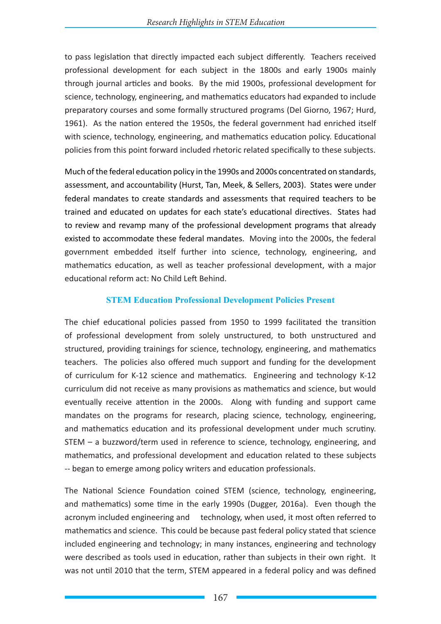to pass legislation that directly impacted each subject differently. Teachers received professional development for each subject in the 1800s and early 1900s mainly through journal articles and books. By the mid 1900s, professional development for science, technology, engineering, and mathematics educators had expanded to include preparatory courses and some formally structured programs (Del Giorno, 1967; Hurd, 1961). As the nation entered the 1950s, the federal government had enriched itself with science, technology, engineering, and mathematics education policy. Educational policies from this point forward included rhetoric related specifically to these subjects.

Much of the federal education policy in the 1990s and 2000s concentrated on standards, assessment, and accountability (Hurst, Tan, Meek, & Sellers, 2003). States were under federal mandates to create standards and assessments that required teachers to be trained and educated on updates for each state's educational directives. States had to review and revamp many of the professional development programs that already existed to accommodate these federal mandates. Moving into the 2000s, the federal government embedded itself further into science, technology, engineering, and mathematics education, as well as teacher professional development, with a major educational reform act: No Child Left Behind.

## **STEM Education Professional Development Policies Present**

The chief educational policies passed from 1950 to 1999 facilitated the transition of professional development from solely unstructured, to both unstructured and structured, providing trainings for science, technology, engineering, and mathematics teachers. The policies also offered much support and funding for the development of curriculum for K-12 science and mathematics. Engineering and technology K-12 curriculum did not receive as many provisions as mathematics and science, but would eventually receive attention in the 2000s. Along with funding and support came mandates on the programs for research, placing science, technology, engineering, and mathematics education and its professional development under much scrutiny. STEM – a buzzword/term used in reference to science, technology, engineering, and mathematics, and professional development and education related to these subjects -- began to emerge among policy writers and education professionals.

The National Science Foundation coined STEM (science, technology, engineering, and mathematics) some time in the early 1990s (Dugger, 2016a). Even though the acronym included engineering and technology, when used, it most often referred to mathematics and science. This could be because past federal policy stated that science included engineering and technology; in many instances, engineering and technology were described as tools used in education, rather than subjects in their own right. It was not until 2010 that the term, STEM appeared in a federal policy and was defined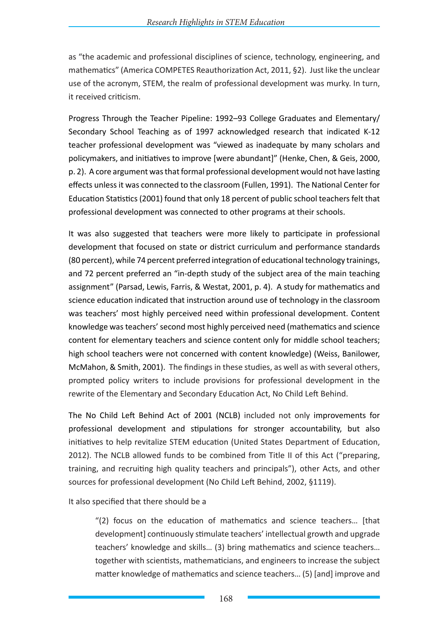as "the academic and professional disciplines of science, technology, engineering, and mathematics" (America COMPETES Reauthorization Act, 2011, §2). Just like the unclear use of the acronym, STEM, the realm of professional development was murky. In turn, it received criticism.

Progress Through the Teacher Pipeline: 1992–93 College Graduates and Elementary/ Secondary School Teaching as of 1997 acknowledged research that indicated K-12 teacher professional development was "viewed as inadequate by many scholars and policymakers, and initiatives to improve [were abundant]" (Henke, Chen, & Geis, 2000, p. 2). A core argument was that formal professional development would not have lasting effects unless it was connected to the classroom (Fullen, 1991). The National Center for Education Statistics (2001) found that only 18 percent of public school teachers felt that professional development was connected to other programs at their schools.

It was also suggested that teachers were more likely to participate in professional development that focused on state or district curriculum and performance standards (80 percent), while 74 percent preferred integration of educational technology trainings, and 72 percent preferred an "in-depth study of the subject area of the main teaching assignment" (Parsad, Lewis, Farris, & Westat, 2001, p. 4). A study for mathematics and science education indicated that instruction around use of technology in the classroom was teachers' most highly perceived need within professional development. Content knowledge was teachers' second most highly perceived need (mathematics and science content for elementary teachers and science content only for middle school teachers; high school teachers were not concerned with content knowledge) (Weiss, Banilower, McMahon, & Smith, 2001). The findings in these studies, as well as with several others, prompted policy writers to include provisions for professional development in the rewrite of the Elementary and Secondary Education Act, No Child Left Behind.

The No Child Left Behind Act of 2001 (NCLB) included not only improvements for professional development and stipulations for stronger accountability, but also initiatives to help revitalize STEM education (United States Department of Education, 2012). The NCLB allowed funds to be combined from Title II of this Act ("preparing, training, and recruiting high quality teachers and principals"), other Acts, and other sources for professional development (No Child Left Behind, 2002, §1119).

It also specified that there should be a

"(2) focus on the education of mathematics and science teachers… [that development] continuously stimulate teachers' intellectual growth and upgrade teachers' knowledge and skills… (3) bring mathematics and science teachers… together with scientists, mathematicians, and engineers to increase the subject matter knowledge of mathematics and science teachers… (5) [and] improve and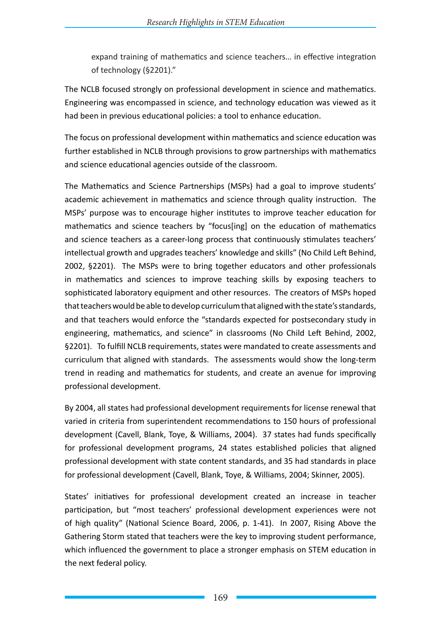expand training of mathematics and science teachers… in effective integration of technology (§2201)."

The NCLB focused strongly on professional development in science and mathematics. Engineering was encompassed in science, and technology education was viewed as it had been in previous educational policies: a tool to enhance education.

The focus on professional development within mathematics and science education was further established in NCLB through provisions to grow partnerships with mathematics and science educational agencies outside of the classroom.

The Mathematics and Science Partnerships (MSPs) had a goal to improve students' academic achievement in mathematics and science through quality instruction. The MSPs' purpose was to encourage higher institutes to improve teacher education for mathematics and science teachers by "focus[ing] on the education of mathematics and science teachers as a career-long process that continuously stimulates teachers' intellectual growth and upgrades teachers' knowledge and skills" (No Child Left Behind, 2002, §2201). The MSPs were to bring together educators and other professionals in mathematics and sciences to improve teaching skills by exposing teachers to sophisticated laboratory equipment and other resources. The creators of MSPs hoped that teachers would be able to develop curriculum that aligned with the state's standards, and that teachers would enforce the "standards expected for postsecondary study in engineering, mathematics, and science" in classrooms (No Child Left Behind, 2002, §2201). To fulfill NCLB requirements, states were mandated to create assessments and curriculum that aligned with standards. The assessments would show the long-term trend in reading and mathematics for students, and create an avenue for improving professional development.

By 2004, all states had professional development requirements for license renewal that varied in criteria from superintendent recommendations to 150 hours of professional development (Cavell, Blank, Toye, & Williams, 2004). 37 states had funds specifically for professional development programs, 24 states established policies that aligned professional development with state content standards, and 35 had standards in place for professional development (Cavell, Blank, Toye, & Williams, 2004; Skinner, 2005).

States' initiatives for professional development created an increase in teacher participation, but "most teachers' professional development experiences were not of high quality" (National Science Board, 2006, p. 1-41). In 2007, Rising Above the Gathering Storm stated that teachers were the key to improving student performance, which influenced the government to place a stronger emphasis on STEM education in the next federal policy.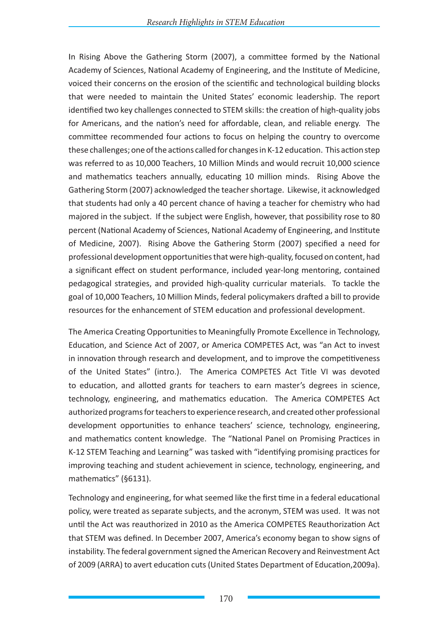In Rising Above the Gathering Storm (2007), a committee formed by the National Academy of Sciences, National Academy of Engineering, and the Institute of Medicine, voiced their concerns on the erosion of the scientific and technological building blocks that were needed to maintain the United States' economic leadership. The report identified two key challenges connected to STEM skills: the creation of high-quality jobs for Americans, and the nation's need for affordable, clean, and reliable energy. The committee recommended four actions to focus on helping the country to overcome these challenges; one of the actions called for changes in K-12 education. This action step was referred to as 10,000 Teachers, 10 Million Minds and would recruit 10,000 science and mathematics teachers annually, educating 10 million minds. Rising Above the Gathering Storm (2007) acknowledged the teacher shortage. Likewise, it acknowledged that students had only a 40 percent chance of having a teacher for chemistry who had majored in the subject. If the subject were English, however, that possibility rose to 80 percent (National Academy of Sciences, National Academy of Engineering, and Institute of Medicine, 2007). Rising Above the Gathering Storm (2007) specified a need for professional development opportunities that were high-quality, focused on content, had a significant effect on student performance, included year-long mentoring, contained pedagogical strategies, and provided high-quality curricular materials. To tackle the goal of 10,000 Teachers, 10 Million Minds, federal policymakers drafted a bill to provide resources for the enhancement of STEM education and professional development.

The America Creating Opportunities to Meaningfully Promote Excellence in Technology, Education, and Science Act of 2007, or America COMPETES Act, was "an Act to invest in innovation through research and development, and to improve the competitiveness of the United States" (intro.). The America COMPETES Act Title VI was devoted to education, and allotted grants for teachers to earn master's degrees in science, technology, engineering, and mathematics education. The America COMPETES Act authorized programs for teachers to experience research, and created other professional development opportunities to enhance teachers' science, technology, engineering, and mathematics content knowledge. The "National Panel on Promising Practices in K-12 STEM Teaching and Learning" was tasked with "identifying promising practices for improving teaching and student achievement in science, technology, engineering, and mathematics" (§6131).

Technology and engineering, for what seemed like the first time in a federal educational policy, were treated as separate subjects, and the acronym, STEM was used. It was not until the Act was reauthorized in 2010 as the America COMPETES Reauthorization Act that STEM was defined. In December 2007, America's economy began to show signs of instability. The federal government signed the American Recovery and Reinvestment Act of 2009 (ARRA) to avert education cuts (United States Department of Education,2009a).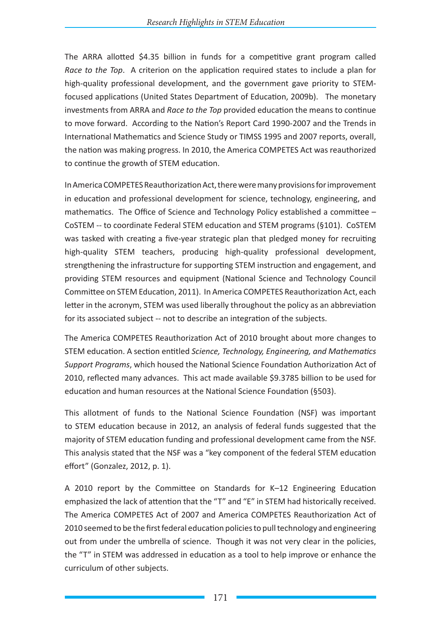The ARRA allotted \$4.35 billion in funds for a competitive grant program called *Race to the Top*. A criterion on the application required states to include a plan for high-quality professional development, and the government gave priority to STEMfocused applications (United States Department of Education, 2009b). The monetary investments from ARRA and *Race to the Top* provided education the means to continue to move forward. According to the Nation's Report Card 1990-2007 and the Trends in International Mathematics and Science Study or TIMSS 1995 and 2007 reports, overall, the nation was making progress. In 2010, the America COMPETES Act was reauthorized to continue the growth of STEM education.

In America COMPETES Reauthorization Act, there were many provisions for improvement in education and professional development for science, technology, engineering, and mathematics. The Office of Science and Technology Policy established a committee – CoSTEM -- to coordinate Federal STEM education and STEM programs (§101). CoSTEM was tasked with creating a five-year strategic plan that pledged money for recruiting high-quality STEM teachers, producing high-quality professional development, strengthening the infrastructure for supporting STEM instruction and engagement, and providing STEM resources and equipment (National Science and Technology Council Committee on STEM Education, 2011). In America COMPETES Reauthorization Act, each letter in the acronym, STEM was used liberally throughout the policy as an abbreviation for its associated subject -- not to describe an integration of the subjects.

The America COMPETES Reauthorization Act of 2010 brought about more changes to STEM education. A section entitled *Science, Technology, Engineering, and Mathematics Support Programs*, which housed the National Science Foundation Authorization Act of 2010, reflected many advances. This act made available \$9.3785 billion to be used for education and human resources at the National Science Foundation (§503).

This allotment of funds to the National Science Foundation (NSF) was important to STEM education because in 2012, an analysis of federal funds suggested that the majority of STEM education funding and professional development came from the NSF. This analysis stated that the NSF was a "key component of the federal STEM education effort" (Gonzalez, 2012, p. 1).

A 2010 report by the Committee on Standards for K–12 Engineering Education emphasized the lack of attention that the "T" and "E" in STEM had historically received. The America COMPETES Act of 2007 and America COMPETES Reauthorization Act of 2010 seemed to be the first federal education policies to pull technology and engineering out from under the umbrella of science. Though it was not very clear in the policies, the "T" in STEM was addressed in education as a tool to help improve or enhance the curriculum of other subjects.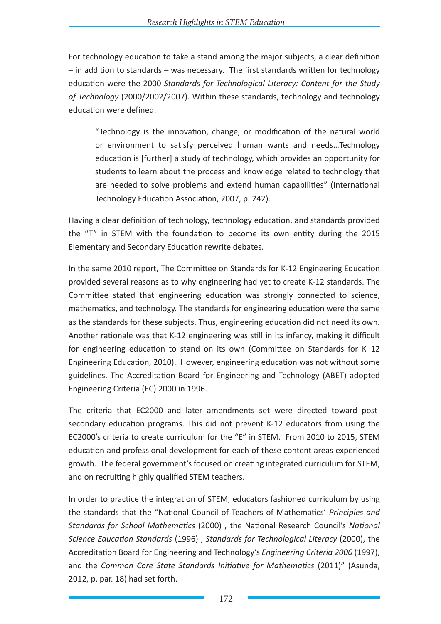For technology education to take a stand among the major subjects, a clear definition – in addition to standards – was necessary. The first standards written for technology education were the 2000 *Standards for Technological Literacy: Content for the Study of Technology* (2000/2002/2007). Within these standards, technology and technology education were defined.

"Technology is the innovation, change, or modification of the natural world or environment to satisfy perceived human wants and needs…Technology education is [further] a study of technology, which provides an opportunity for students to learn about the process and knowledge related to technology that are needed to solve problems and extend human capabilities" (International Technology Education Association, 2007, p. 242).

Having a clear definition of technology, technology education, and standards provided the "T" in STEM with the foundation to become its own entity during the 2015 Elementary and Secondary Education rewrite debates.

In the same 2010 report, The Committee on Standards for K-12 Engineering Education provided several reasons as to why engineering had yet to create K-12 standards. The Committee stated that engineering education was strongly connected to science, mathematics, and technology. The standards for engineering education were the same as the standards for these subjects. Thus, engineering education did not need its own. Another rationale was that K-12 engineering was still in its infancy, making it difficult for engineering education to stand on its own (Committee on Standards for K–12 Engineering Education, 2010). However, engineering education was not without some guidelines. The Accreditation Board for Engineering and Technology (ABET) adopted Engineering Criteria (EC) 2000 in 1996.

The criteria that EC2000 and later amendments set were directed toward postsecondary education programs. This did not prevent K-12 educators from using the EC2000's criteria to create curriculum for the "E" in STEM. From 2010 to 2015, STEM education and professional development for each of these content areas experienced growth. The federal government's focused on creating integrated curriculum for STEM, and on recruiting highly qualified STEM teachers.

In order to practice the integration of STEM, educators fashioned curriculum by using the standards that the "National Council of Teachers of Mathematics' *Principles and Standards for School Mathematics* (2000) , the National Research Council's *National Science Education Standards* (1996) , *Standards for Technological Literacy* (2000), the Accreditation Board for Engineering and Technology's *Engineering Criteria 2000* (1997), and the *Common Core State Standards Initiative for Mathematics* (2011)" (Asunda, 2012, p. par. 18) had set forth.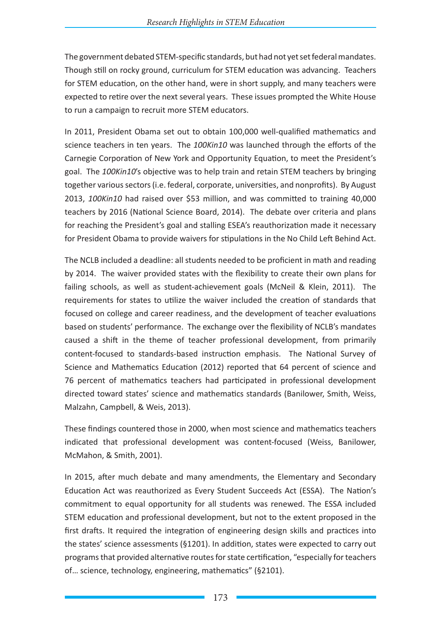The government debated STEM-specific standards, but had not yet set federal mandates. Though still on rocky ground, curriculum for STEM education was advancing. Teachers for STEM education, on the other hand, were in short supply, and many teachers were expected to retire over the next several years. These issues prompted the White House to run a campaign to recruit more STEM educators.

In 2011, President Obama set out to obtain 100,000 well-qualified mathematics and science teachers in ten years. The *100Kin10* was launched through the efforts of the Carnegie Corporation of New York and Opportunity Equation, to meet the President's goal. The *100Kin10*'s objective was to help train and retain STEM teachers by bringing together various sectors (i.e. federal, corporate, universities, and nonprofits). By August 2013, *100Kin10* had raised over \$53 million, and was committed to training 40,000 teachers by 2016 (National Science Board, 2014). The debate over criteria and plans for reaching the President's goal and stalling ESEA's reauthorization made it necessary for President Obama to provide waivers for stipulations in the No Child Left Behind Act.

The NCLB included a deadline: all students needed to be proficient in math and reading by 2014. The waiver provided states with the flexibility to create their own plans for failing schools, as well as student-achievement goals (McNeil & Klein, 2011). The requirements for states to utilize the waiver included the creation of standards that focused on college and career readiness, and the development of teacher evaluations based on students' performance. The exchange over the flexibility of NCLB's mandates caused a shift in the theme of teacher professional development, from primarily content-focused to standards-based instruction emphasis. The National Survey of Science and Mathematics Education (2012) reported that 64 percent of science and 76 percent of mathematics teachers had participated in professional development directed toward states' science and mathematics standards (Banilower, Smith, Weiss, Malzahn, Campbell, & Weis, 2013).

These findings countered those in 2000, when most science and mathematics teachers indicated that professional development was content-focused (Weiss, Banilower, McMahon, & Smith, 2001).

In 2015, after much debate and many amendments, the Elementary and Secondary Education Act was reauthorized as Every Student Succeeds Act (ESSA). The Nation's commitment to equal opportunity for all students was renewed. The ESSA included STEM education and professional development, but not to the extent proposed in the first drafts. It required the integration of engineering design skills and practices into the states' science assessments (§1201). In addition, states were expected to carry out programs that provided alternative routes for state certification, "especially for teachers of… science, technology, engineering, mathematics" (§2101).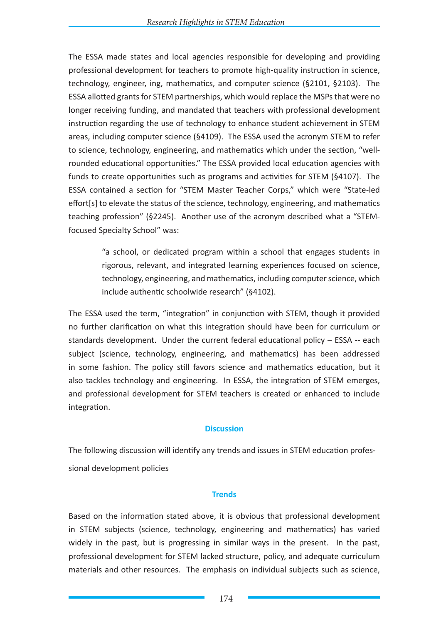The ESSA made states and local agencies responsible for developing and providing professional development for teachers to promote high-quality instruction in science, technology, engineer, ing, mathematics, and computer science (§2101, §2103). The ESSA allotted grants for STEM partnerships, which would replace the MSPs that were no longer receiving funding, and mandated that teachers with professional development instruction regarding the use of technology to enhance student achievement in STEM areas, including computer science (§4109). The ESSA used the acronym STEM to refer to science, technology, engineering, and mathematics which under the section, "wellrounded educational opportunities." The ESSA provided local education agencies with funds to create opportunities such as programs and activities for STEM (§4107). The ESSA contained a section for "STEM Master Teacher Corps," which were "State-led effort[s] to elevate the status of the science, technology, engineering, and mathematics teaching profession" (§2245). Another use of the acronym described what a "STEMfocused Specialty School" was:

> "a school, or dedicated program within a school that engages students in rigorous, relevant, and integrated learning experiences focused on science, technology, engineering, and mathematics, including computer science, which include authentic schoolwide research" (§4102).

The ESSA used the term, "integration" in conjunction with STEM, though it provided no further clarification on what this integration should have been for curriculum or standards development. Under the current federal educational policy – ESSA -- each subject (science, technology, engineering, and mathematics) has been addressed in some fashion. The policy still favors science and mathematics education, but it also tackles technology and engineering. In ESSA, the integration of STEM emerges, and professional development for STEM teachers is created or enhanced to include integration.

#### **Discussion**

The following discussion will identify any trends and issues in STEM education professional development policies

#### **Trends**

Based on the information stated above, it is obvious that professional development in STEM subjects (science, technology, engineering and mathematics) has varied widely in the past, but is progressing in similar ways in the present. In the past, professional development for STEM lacked structure, policy, and adequate curriculum materials and other resources. The emphasis on individual subjects such as science,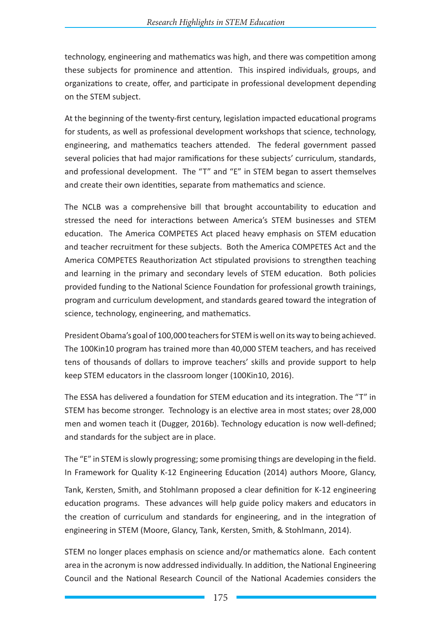technology, engineering and mathematics was high, and there was competition among these subjects for prominence and attention. This inspired individuals, groups, and organizations to create, offer, and participate in professional development depending on the STEM subject.

At the beginning of the twenty-first century, legislation impacted educational programs for students, as well as professional development workshops that science, technology, engineering, and mathematics teachers attended. The federal government passed several policies that had major ramifications for these subjects' curriculum, standards, and professional development. The "T" and "E" in STEM began to assert themselves and create their own identities, separate from mathematics and science.

The NCLB was a comprehensive bill that brought accountability to education and stressed the need for interactions between America's STEM businesses and STEM education. The America COMPETES Act placed heavy emphasis on STEM education and teacher recruitment for these subjects. Both the America COMPETES Act and the America COMPETES Reauthorization Act stipulated provisions to strengthen teaching and learning in the primary and secondary levels of STEM education. Both policies provided funding to the National Science Foundation for professional growth trainings, program and curriculum development, and standards geared toward the integration of science, technology, engineering, and mathematics.

President Obama's goal of 100,000 teachers for STEM is well on its way to being achieved. The 100Kin10 program has trained more than 40,000 STEM teachers, and has received tens of thousands of dollars to improve teachers' skills and provide support to help keep STEM educators in the classroom longer (100Kin10, 2016).

The ESSA has delivered a foundation for STEM education and its integration. The "T" in STEM has become stronger. Technology is an elective area in most states; over 28,000 men and women teach it (Dugger, 2016b). Technology education is now well-defined; and standards for the subject are in place.

The "E" in STEM is slowly progressing; some promising things are developing in the field. In Framework for Quality K-12 Engineering Education (2014) authors Moore, Glancy,

Tank, Kersten, Smith, and Stohlmann proposed a clear definition for K-12 engineering education programs. These advances will help guide policy makers and educators in the creation of curriculum and standards for engineering, and in the integration of engineering in STEM (Moore, Glancy, Tank, Kersten, Smith, & Stohlmann, 2014).

STEM no longer places emphasis on science and/or mathematics alone. Each content area in the acronym is now addressed individually. In addition, the National Engineering Council and the National Research Council of the National Academies considers the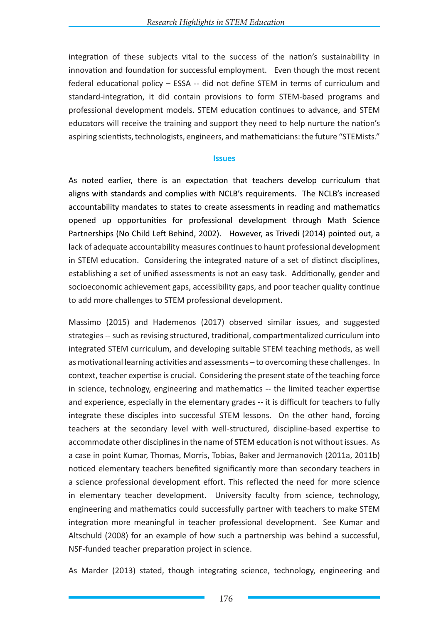integration of these subjects vital to the success of the nation's sustainability in innovation and foundation for successful employment. Even though the most recent federal educational policy – ESSA -- did not define STEM in terms of curriculum and standard-integration, it did contain provisions to form STEM-based programs and professional development models. STEM education continues to advance, and STEM educators will receive the training and support they need to help nurture the nation's aspiring scientists, technologists, engineers, and mathematicians: the future "STEMists."

#### **Issues**

As noted earlier, there is an expectation that teachers develop curriculum that aligns with standards and complies with NCLB's requirements. The NCLB's increased accountability mandates to states to create assessments in reading and mathematics opened up opportunities for professional development through Math Science Partnerships (No Child Left Behind, 2002). However, as Trivedi (2014) pointed out, a lack of adequate accountability measures continues to haunt professional development in STEM education. Considering the integrated nature of a set of distinct disciplines, establishing a set of unified assessments is not an easy task. Additionally, gender and socioeconomic achievement gaps, accessibility gaps, and poor teacher quality continue to add more challenges to STEM professional development.

Massimo (2015) and Hademenos (2017) observed similar issues, and suggested strategies -- such as revising structured, traditional, compartmentalized curriculum into integrated STEM curriculum, and developing suitable STEM teaching methods, as well as motivational learning activities and assessments – to overcoming these challenges. In context, teacher expertise is crucial. Considering the present state of the teaching force in science, technology, engineering and mathematics -- the limited teacher expertise and experience, especially in the elementary grades -- it is difficult for teachers to fully integrate these disciples into successful STEM lessons. On the other hand, forcing teachers at the secondary level with well-structured, discipline-based expertise to accommodate other disciplines in the name of STEM education is not without issues. As a case in point Kumar, Thomas, Morris, Tobias, Baker and Jermanovich (2011a, 2011b) noticed elementary teachers benefited significantly more than secondary teachers in a science professional development effort. This reflected the need for more science in elementary teacher development. University faculty from science, technology, engineering and mathematics could successfully partner with teachers to make STEM integration more meaningful in teacher professional development. See Kumar and Altschuld (2008) for an example of how such a partnership was behind a successful, NSF-funded teacher preparation project in science.

As Marder (2013) stated, though integrating science, technology, engineering and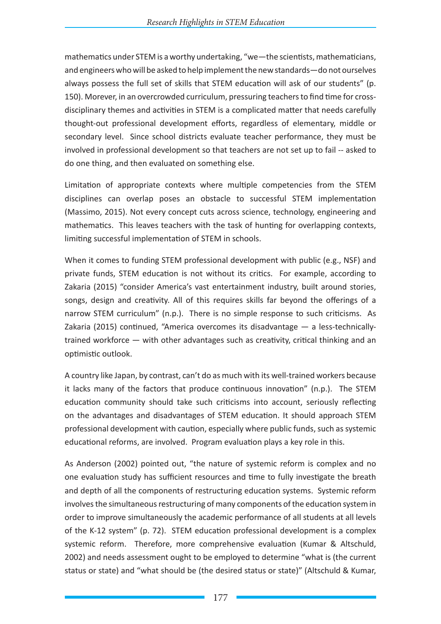mathematics under STEM is a worthy undertaking, "we—the scientists, mathematicians, and engineers who will be asked to help implement the new standards—do not ourselves always possess the full set of skills that STEM education will ask of our students" (p. 150). Morever, in an overcrowded curriculum, pressuring teachers to find time for crossdisciplinary themes and activities in STEM is a complicated matter that needs carefully thought-out professional development efforts, regardless of elementary, middle or secondary level. Since school districts evaluate teacher performance, they must be involved in professional development so that teachers are not set up to fail -- asked to do one thing, and then evaluated on something else.

Limitation of appropriate contexts where multiple competencies from the STEM disciplines can overlap poses an obstacle to successful STEM implementation (Massimo, 2015). Not every concept cuts across science, technology, engineering and mathematics. This leaves teachers with the task of hunting for overlapping contexts, limiting successful implementation of STEM in schools.

When it comes to funding STEM professional development with public (e.g., NSF) and private funds, STEM education is not without its critics. For example, according to Zakaria (2015) "consider America's vast entertainment industry, built around stories, songs, design and creativity. All of this requires skills far beyond the offerings of a narrow STEM curriculum" (n.p.). There is no simple response to such criticisms. As Zakaria (2015) continued, "America overcomes its disadvantage — a less-technicallytrained workforce — with other advantages such as creativity, critical thinking and an optimistic outlook.

A country like Japan, by contrast, can't do as much with its well-trained workers because it lacks many of the factors that produce continuous innovation" (n.p.). The STEM education community should take such criticisms into account, seriously reflecting on the advantages and disadvantages of STEM education. It should approach STEM professional development with caution, especially where public funds, such as systemic educational reforms, are involved. Program evaluation plays a key role in this.

As Anderson (2002) pointed out, "the nature of systemic reform is complex and no one evaluation study has sufficient resources and time to fully investigate the breath and depth of all the components of restructuring education systems. Systemic reform involves the simultaneous restructuring of many components of the education system in order to improve simultaneously the academic performance of all students at all levels of the K-12 system" (p. 72). STEM education professional development is a complex systemic reform. Therefore, more comprehensive evaluation (Kumar & Altschuld, 2002) and needs assessment ought to be employed to determine "what is (the current status or state) and "what should be (the desired status or state)" (Altschuld & Kumar,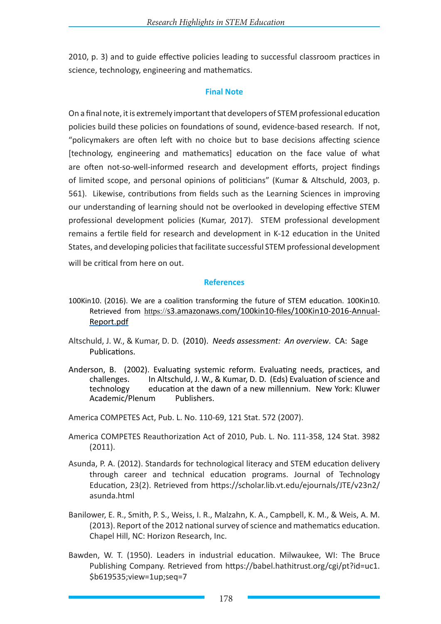2010, p. 3) and to guide effective policies leading to successful classroom practices in science, technology, engineering and mathematics.

#### **Final Note**

On a final note, it is extremely important that developers of STEM professional education policies build these policies on foundations of sound, evidence-based research. If not, "policymakers are often left with no choice but to base decisions affecting science [technology, engineering and mathematics] education on the face value of what are often not-so-well-informed research and development efforts, project findings of limited scope, and personal opinions of politicians" (Kumar & Altschuld, 2003, p. 561). Likewise, contributions from fields such as the Learning Sciences in improving our understanding of learning should not be overlooked in developing effective STEM professional development policies (Kumar, 2017). STEM professional development remains a fertile field for research and development in K-12 education in the United States, and developing policies that facilitate successful STEM professional development will be critical from here on out.

#### **References**

- 100Kin10. (2016). We are a coalition transforming the future of STEM education. 100Kin10. Retrieved from https://s3.amazonaws.com/100kin10-files/100Kin10-2016-Annual-Report.pdf
- Altschuld, J. W., & Kumar, D. D. (2010). *Needs assessment: An overview*. CA: Sage Publications.
- Anderson, B. (2002). Evaluating systemic reform. Evaluating needs, practices, and challenges. In Altschuld, J. W., & Kumar, D. D. (Eds) Evaluation of science and technology education at the dawn of a new millennium. New York: Kluwer Academic/Plenum Publishers.

America COMPETES Act, Pub. L. No. 110-69, 121 Stat. 572 (2007).

- America COMPETES Reauthorization Act of 2010, Pub. L. No. 111-358, 124 Stat. 3982 (2011).
- Asunda, P. A. (2012). Standards for technological literacy and STEM education delivery through career and technical education programs. Journal of Technology Education, 23(2). Retrieved from https://scholar.lib.vt.edu/ejournals/JTE/v23n2/ asunda.html
- Banilower, E. R., Smith, P. S., Weiss, I. R., Malzahn, K. A., Campbell, K. M., & Weis, A. M. (2013). Report of the 2012 national survey of science and mathematics education. Chapel Hill, NC: Horizon Research, Inc.
- Bawden, W. T. (1950). Leaders in industrial education. Milwaukee, WI: The Bruce Publishing Company. Retrieved from https://babel.hathitrust.org/cgi/pt?id=uc1. \$b619535;view=1up;seq=7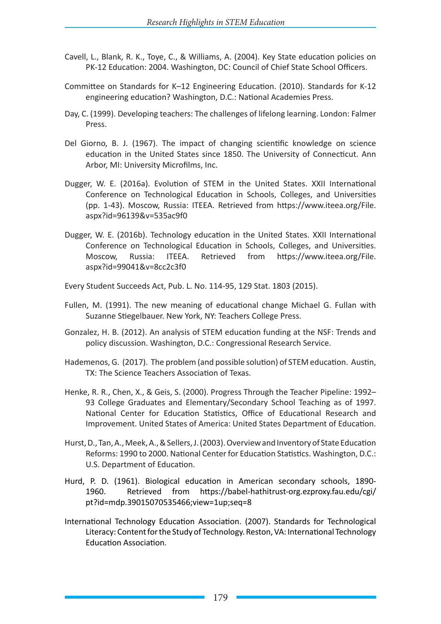- Cavell, L., Blank, R. K., Toye, C., & Williams, A. (2004). Key State education policies on PK-12 Education: 2004. Washington, DC: Council of Chief State School Officers.
- Committee on Standards for K–12 Engineering Education. (2010). Standards for K-12 engineering education? Washington, D.C.: National Academies Press.
- Day, C. (1999). Developing teachers: The challenges of lifelong learning. London: Falmer Press.
- Del Giorno, B. J. (1967). The impact of changing scientific knowledge on science education in the United States since 1850. The University of Connecticut. Ann Arbor, MI: University Microfilms, Inc.
- Dugger, W. E. (2016a). Evolution of STEM in the United States. XXII International Conference on Technological Education in Schools, Colleges, and Universities (pp. 1-43). Moscow, Russia: ITEEA. Retrieved from https://www.iteea.org/File. aspx?id=96139&v=535ac9f0
- Dugger, W. E. (2016b). Technology education in the United States. XXII International Conference on Technological Education in Schools, Colleges, and Universities. Moscow, Russia: ITEEA. Retrieved from https://www.iteea.org/File. aspx?id=99041&v=8cc2c3f0
- Every Student Succeeds Act, Pub. L. No. 114-95, 129 Stat. 1803 (2015).
- Fullen, M. (1991). The new meaning of educational change Michael G. Fullan with Suzanne Stiegelbauer. New York, NY: Teachers College Press.
- Gonzalez, H. B. (2012). An analysis of STEM education funding at the NSF: Trends and policy discussion. Washington, D.C.: Congressional Research Service.
- Hademenos, G. (2017). The problem (and possible solution) of STEM education. Austin, TX: The Science Teachers Association of Texas.
- Henke, R. R., Chen, X., & Geis, S. (2000). Progress Through the Teacher Pipeline: 1992– 93 College Graduates and Elementary/Secondary School Teaching as of 1997. National Center for Education Statistics, Office of Educational Research and Improvement. United States of America: United States Department of Education.
- Hurst, D., Tan, A., Meek, A., & Sellers, J. (2003). Overview and Inventory of State Education Reforms: 1990 to 2000. National Center for Education Statistics. Washington, D.C.: U.S. Department of Education.
- Hurd, P. D. (1961). Biological education in American secondary schools, 1890- 1960. Retrieved from https://babel-hathitrust-org.ezproxy.fau.edu/cgi/ pt?id=mdp.39015070535466;view=1up;seq=8
- International Technology Education Association. (2007). Standards for Technological Literacy: Content for the Study of Technology. Reston, VA: International Technology Education Association.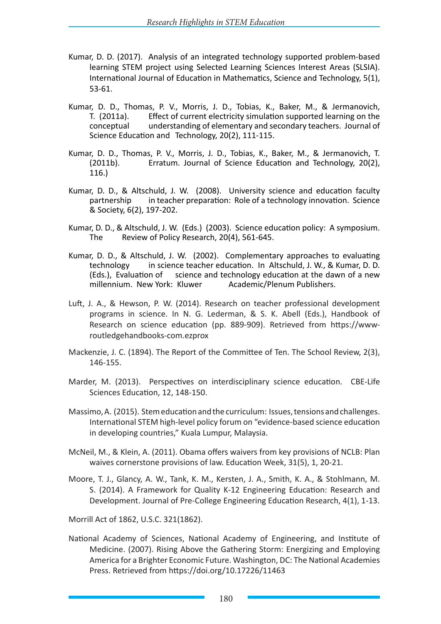- Kumar, D. D. (2017). Analysis of an integrated technology supported problem-based learning STEM project using Selected Learning Sciences Interest Areas (SLSIA). International Journal of Education in Mathematics, Science and Technology, 5(1), 53-61.
- Kumar, D. D., Thomas, P. V., Morris, J. D., Tobias, K., Baker, M., & Jermanovich, T. (2011a). Effect of current electricity simulation supported learning on the conceptual understanding of elementary and secondary teachers. Journal of Science Education and Technology, 20(2), 111-115.
- Kumar, D. D., Thomas, P. V., Morris, J. D., Tobias, K., Baker, M., & Jermanovich, T. (2011b). Erratum. Journal of Science Education and Technology, 20(2), 116.)
- Kumar, D. D., & Altschuld, J. W. (2008). University science and education faculty partnership in teacher preparation: Role of a technology innovation. Science & Society, 6(2), 197-202.
- Kumar, D. D., & Altschuld, J. W. (Eds.) (2003). Science education policy: A symposium. The Review of Policy Research, 20(4), 561-645.
- Kumar, D. D., & Altschuld, J. W. (2002). Complementary approaches to evaluating technology in science teacher education. In Altschuld, J. W., & Kumar, D. D. (Eds.), Evaluation of science and technology education at the dawn of a new millennium. New York: Kluwer Academic/Plenum Publishers.
- Luft, J. A., & Hewson, P. W. (2014). Research on teacher professional development programs in science. In N. G. Lederman, & S. K. Abell (Eds.), Handbook of Research on science education (pp. 889-909). Retrieved from https://wwwroutledgehandbooks-com.ezprox
- Mackenzie, J. C. (1894). The Report of the Committee of Ten. The School Review, 2(3), 146-155.
- Marder, M. (2013). Perspectives on interdisciplinary science education. CBE-Life Sciences Education, 12, 148-150.
- Massimo, A. (2015). Stem education and the curriculum: Issues, tensions and challenges. International STEM high-level policy forum on "evidence-based science education in developing countries," Kuala Lumpur, Malaysia.
- McNeil, M., & Klein, A. (2011). Obama offers waivers from key provisions of NCLB: Plan waives cornerstone provisions of law. Education Week, 31(5), 1, 20-21.
- Moore, T. J., Glancy, A. W., Tank, K. M., Kersten, J. A., Smith, K. A., & Stohlmann, M. S. (2014). A Framework for Quality K-12 Engineering Education: Research and Development. Journal of Pre-College Engineering Education Research, 4(1), 1-13.

Morrill Act of 1862, U.S.C. 321(1862).

National Academy of Sciences, National Academy of Engineering, and Institute of Medicine. (2007). Rising Above the Gathering Storm: Energizing and Employing America for a Brighter Economic Future. Washington, DC: The National Academies Press. Retrieved from https://doi.org/10.17226/11463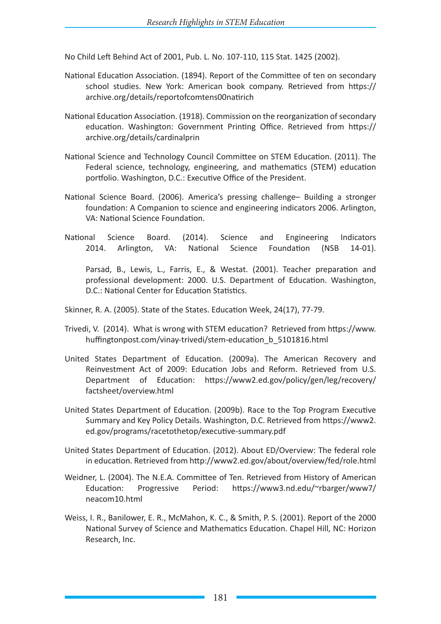No Child Left Behind Act of 2001, Pub. L. No. 107-110, 115 Stat. 1425 (2002).

- National Education Association. (1894). Report of the Committee of ten on secondary school studies. New York: American book company. Retrieved from https:// archive.org/details/reportofcomtens00natirich
- National Education Association. (1918). Commission on the reorganization of secondary education. Washington: Government Printing Office. Retrieved from https:// archive.org/details/cardinalprin
- National Science and Technology Council Committee on STEM Education. (2011). The Federal science, technology, engineering, and mathematics (STEM) education portfolio. Washington, D.C.: Executive Office of the President.
- National Science Board. (2006). America's pressing challenge– Building a stronger foundation: A Companion to science and engineering indicators 2006. Arlington, VA: National Science Foundation.
- National Science Board. (2014). Science and Engineering Indicators 2014. Arlington, VA: National Science Foundation (NSB 14-01).

Parsad, B., Lewis, L., Farris, E., & Westat. (2001). Teacher preparation and professional development: 2000. U.S. Department of Education. Washington, D.C.: National Center for Education Statistics.

Skinner, R. A. (2005). State of the States. Education Week, 24(17), 77-79.

- Trivedi, V. (2014). What is wrong with STEM education? Retrieved from https://www. huffingtonpost.com/vinay-trivedi/stem-education\_b\_5101816.html
- United States Department of Education. (2009a). The American Recovery and Reinvestment Act of 2009: Education Jobs and Reform. Retrieved from U.S. Department of Education: https://www2.ed.gov/policy/gen/leg/recovery/ factsheet/overview.html
- United States Department of Education. (2009b). Race to the Top Program Executive Summary and Key Policy Details. Washington, D.C. Retrieved from https://www2. ed.gov/programs/racetothetop/executive-summary.pdf
- United States Department of Education. (2012). About ED/Overview: The federal role in education. Retrieved from http://www2.ed.gov/about/overview/fed/role.html
- Weidner, L. (2004). The N.E.A. Committee of Ten. Retrieved from History of American Education: Progressive Period: https://www3.nd.edu/~rbarger/www7/ neacom10.html
- Weiss, I. R., Banilower, E. R., McMahon, K. C., & Smith, P. S. (2001). Report of the 2000 National Survey of Science and Mathematics Education. Chapel Hill, NC: Horizon Research, Inc.